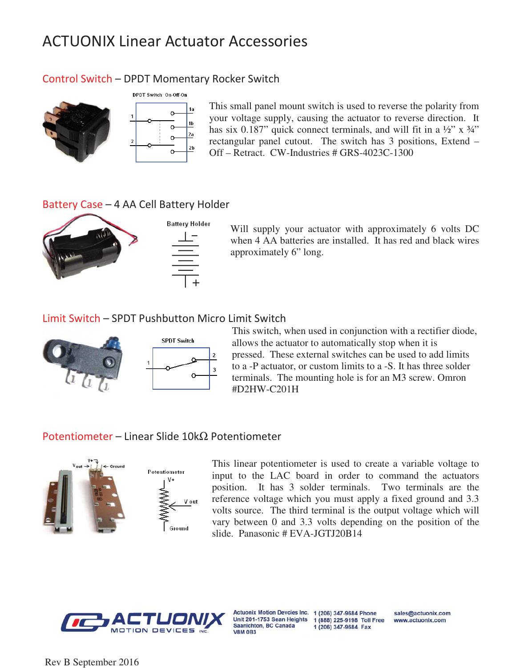# ACTUONIX Linear Actuator Accessories

## Control Switch – DPDT Momentary Rocker Switch



This small panel mount switch is used to reverse the polarity from your voltage supply, causing the actuator to reverse direction. It has six 0.187" quick connect terminals, and will fit in a  $\frac{1}{2}$ " x  $\frac{3}{4}$ " rectangular panel cutout. The switch has 3 positions, Extend – Off – Retract. CW-Industries # GRS-4023C-1300

## Battery Case - 4 AA Cell Battery Holder



Will supply your actuator with approximately 6 volts DC when 4 AA batteries are installed. It has red and black wires approximately 6" long.

### Limit Switch - SPDT Pushbutton Micro Limit Switch



This switch, when used in conjunction with a rectifier diode, allows the actuator to automatically stop when it is pressed. These external switches can be used to add limits to a -P actuator, or custom limits to a -S. It has three solder terminals. The mounting hole is for an M3 screw. Omron #D2HW-C201H

### Potentiometer – Linear Slide 10kΩ Potentiometer



This linear potentiometer is used to create a variable voltage to input to the LAC board in order to command the actuators position. It has 3 solder terminals. Two terminals are the reference voltage which you must apply a fixed ground and 3.3 volts source. The third terminal is the output voltage which will vary between 0 and 3.3 volts depending on the position of the slide. Panasonic # EVA-JGTJ20B14



**Saanichton, BC Canada V8M 0B3** 

Actuonix Motion Devcies Inc. 1 (206) 347-9684 Phone Unit 201-1753 Sean Heights 1 (888) 225-9198 Toll Free 1 (206) 347-9684 Fax

sales@actuonix.com www.actuonix.com